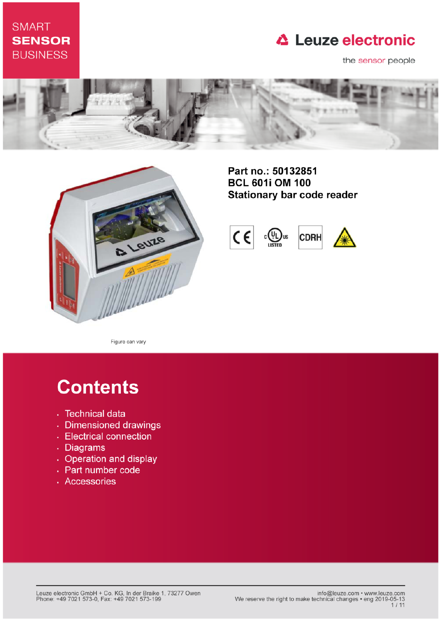## **SMART SENSOR BUSINESS**

## **△ Leuze electronic**

the sensor people





Part no.: 50132851 **BCL 601i OM 100 Stationary bar code reader** 



Figure can vary

# **Contents**

- · Technical data
- · Dimensioned drawings
- Electrical connection
- . Diagrams
- Operation and display
- Part number code
- · Accessories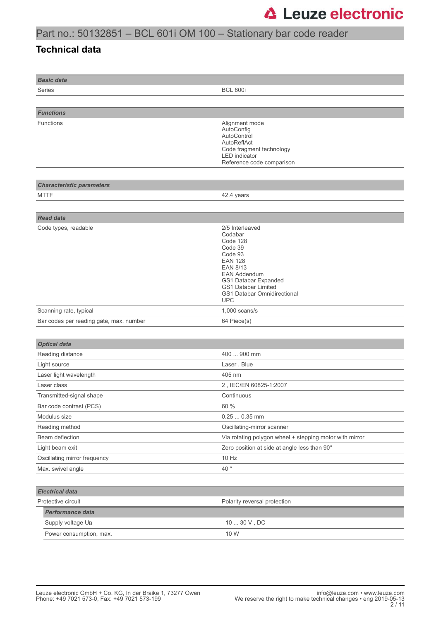### Part no.: 50132851 – BCL 601i OM 100 – Stationary bar code reader

#### **Technical data**

| <b>Basic data</b>                       |                                                                                                                                                                                                                             |
|-----------------------------------------|-----------------------------------------------------------------------------------------------------------------------------------------------------------------------------------------------------------------------------|
| Series                                  | <b>BCL 600i</b>                                                                                                                                                                                                             |
|                                         |                                                                                                                                                                                                                             |
| <b>Functions</b>                        |                                                                                                                                                                                                                             |
| Functions                               | Alignment mode<br>AutoConfig<br>AutoControl<br>AutoReflAct<br>Code fragment technology<br><b>LED</b> indicator<br>Reference code comparison                                                                                 |
| <b>Characteristic parameters</b>        |                                                                                                                                                                                                                             |
| <b>MTTF</b>                             | 42.4 years                                                                                                                                                                                                                  |
|                                         |                                                                                                                                                                                                                             |
| <b>Read data</b>                        |                                                                                                                                                                                                                             |
| Code types, readable                    | 2/5 Interleaved<br>Codabar<br>Code 128<br>Code 39<br>Code 93<br><b>EAN 128</b><br><b>EAN 8/13</b><br><b>EAN Addendum</b><br>GS1 Databar Expanded<br><b>GS1 Databar Limited</b><br>GS1 Databar Omnidirectional<br><b>UPC</b> |
| Scanning rate, typical                  | $1,000$ scans/s                                                                                                                                                                                                             |
| Bar codes per reading gate, max. number | 64 Piece(s)                                                                                                                                                                                                                 |
|                                         |                                                                                                                                                                                                                             |
| <b>Optical data</b>                     |                                                                                                                                                                                                                             |
| Reading distance                        | 400  900 mm                                                                                                                                                                                                                 |
| Light source                            | Laser, Blue                                                                                                                                                                                                                 |
| Laser light wavelength                  | 405 nm                                                                                                                                                                                                                      |
| Laser class                             | 2, IEC/EN 60825-1:2007                                                                                                                                                                                                      |
| Transmitted-signal shape                | Continuous                                                                                                                                                                                                                  |
| Bar code contrast (PCS)                 | 60 %                                                                                                                                                                                                                        |
| Modulus size                            | $0.250.35$ mm                                                                                                                                                                                                               |
| Reading method                          | Oscillating-mirror scanner                                                                                                                                                                                                  |
| Beam deflection                         | Via rotating polygon wheel + stepping motor with mirror                                                                                                                                                                     |
| Light beam exit                         | Zero position at side at angle less than 90°                                                                                                                                                                                |
| Oscillating mirror frequency            | 10 Hz                                                                                                                                                                                                                       |
| Max. swivel angle                       | 40 $^{\circ}$                                                                                                                                                                                                               |
|                                         |                                                                                                                                                                                                                             |
| <b>Electrical data</b>                  |                                                                                                                                                                                                                             |
| Protective circuit                      | Polarity reversal protection                                                                                                                                                                                                |
| Performance data                        |                                                                                                                                                                                                                             |
| Supply voltage U <sub>B</sub>           | $10 \ldots 30$ V , DC                                                                                                                                                                                                       |
| Power consumption, max.                 | 10 W                                                                                                                                                                                                                        |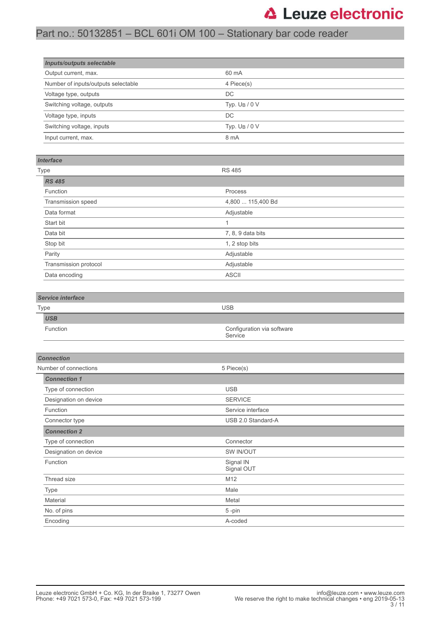## Part no.: 50132851 – BCL 601i OM 100 – Stationary bar code reader

| <b>Inputs/outputs selectable</b>    |                  |  |
|-------------------------------------|------------------|--|
| Output current, max.                | 60 mA            |  |
| Number of inputs/outputs selectable | 4 Piece(s)       |  |
| Voltage type, outputs               | DC               |  |
| Switching voltage, outputs          | Typ. $U_B / 0 V$ |  |
| Voltage type, inputs                | DC               |  |
| Switching voltage, inputs           | Typ. $U_B / 0 V$ |  |
| Input current, max.                 | 8 mA             |  |

#### *Interface*

| <b>Type</b>           | <b>RS 485</b>     |
|-----------------------|-------------------|
| <b>RS 485</b>         |                   |
| Function              | Process           |
| Transmission speed    | 4,800  115,400 Bd |
| Data format           | Adjustable        |
| Start bit             | и                 |
| Data bit              | 7, 8, 9 data bits |
| Stop bit              | 1, 2 stop bits    |
| Parity                | Adjustable        |
| Transmission protocol | Adjustable        |
| Data encoding         | <b>ASCII</b>      |

#### *Service interface*

| Type |                 | <b>USB</b>                            |
|------|-----------------|---------------------------------------|
|      | <b>USB</b>      |                                       |
|      | <b>Function</b> | Configuration via software<br>Service |

| <b>Connection</b>     |                         |  |
|-----------------------|-------------------------|--|
| Number of connections | 5 Piece(s)              |  |
| <b>Connection 1</b>   |                         |  |
| Type of connection    | <b>USB</b>              |  |
| Designation on device | <b>SERVICE</b>          |  |
| Function              | Service interface       |  |
| Connector type        | USB 2.0 Standard-A      |  |
| <b>Connection 2</b>   |                         |  |
| Type of connection    | Connector               |  |
| Designation on device | SW IN/OUT               |  |
| Function              | Signal IN<br>Signal OUT |  |
| Thread size           | M <sub>12</sub>         |  |
| Type                  | Male                    |  |
| Material              | Metal                   |  |
| No. of pins           | 5-pin                   |  |
| Encoding              | A-coded                 |  |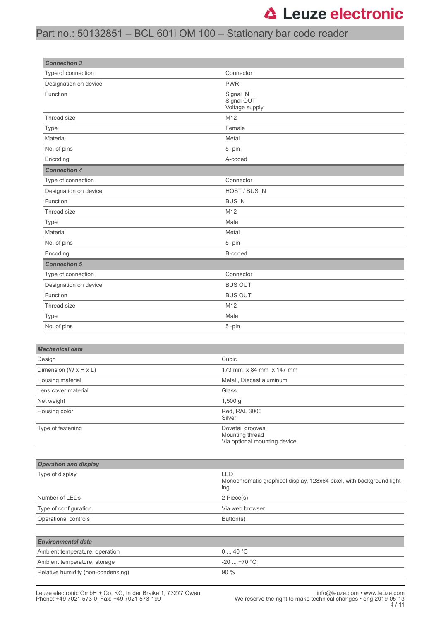## Part no.: 50132851 – BCL 601i OM 100 – Stationary bar code reader

| <b>Connection 3</b>          |                                                                                     |
|------------------------------|-------------------------------------------------------------------------------------|
| Type of connection           | Connector                                                                           |
| Designation on device        | <b>PWR</b>                                                                          |
| Function                     | Signal IN<br>Signal OUT<br>Voltage supply                                           |
| Thread size                  | M12                                                                                 |
| Type                         | Female                                                                              |
| Material                     | Metal                                                                               |
| No. of pins                  | 5-pin                                                                               |
| Encoding                     | A-coded                                                                             |
| <b>Connection 4</b>          |                                                                                     |
| Type of connection           | Connector                                                                           |
| Designation on device        | HOST / BUS IN                                                                       |
| Function                     | <b>BUS IN</b>                                                                       |
| Thread size                  | M12                                                                                 |
| Type                         | Male                                                                                |
| Material                     | Metal                                                                               |
| No. of pins                  | 5-pin                                                                               |
| Encoding                     | B-coded                                                                             |
| <b>Connection 5</b>          |                                                                                     |
| Type of connection           | Connector                                                                           |
| Designation on device        | <b>BUS OUT</b>                                                                      |
| Function                     | <b>BUS OUT</b>                                                                      |
| Thread size                  | M12                                                                                 |
| Type                         | Male                                                                                |
| No. of pins                  | 5-pin                                                                               |
|                              |                                                                                     |
| <b>Mechanical data</b>       |                                                                                     |
| Design                       | Cubic                                                                               |
| Dimension (W x H x L)        | 173 mm x 84 mm x 147 mm                                                             |
| Housing material             | Metal, Diecast aluminum                                                             |
| Lens cover material          | Glass                                                                               |
| Net weight                   | 1,500 g                                                                             |
| Housing color                | Red, RAL 3000<br>Silver                                                             |
| Type of fastening            | Dovetail grooves<br>Mounting thread<br>Via optional mounting device                 |
|                              |                                                                                     |
| <b>Operation and display</b> |                                                                                     |
| Type of display              | LED<br>Monochromatic graphical display, 128x64 pixel, with background light-<br>ing |
| Number of LEDs               | 2 Piece(s)                                                                          |
| Type of configuration        | Via web browser                                                                     |
| Operational controls         | Button(s)                                                                           |
|                              |                                                                                     |
| <b>Fnvironmental data</b>    |                                                                                     |

| <b>Environmental data</b>          |                        |
|------------------------------------|------------------------|
| Ambient temperature, operation     | $0 \quad 40 \degree C$ |
| Ambient temperature, storage       | $-20$ +70 °C           |
| Relative humidity (non-condensing) | $90\%$                 |
|                                    |                        |

L.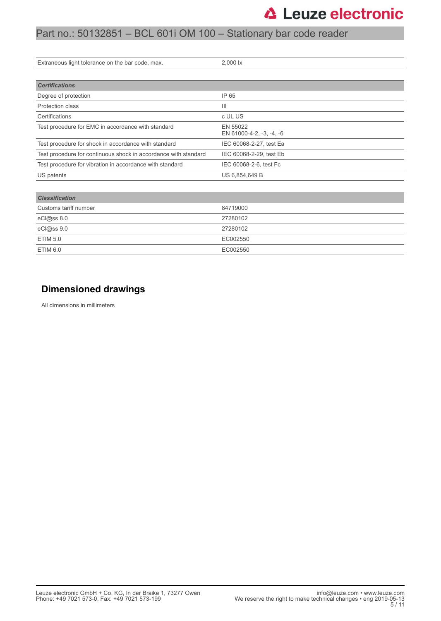### Part no.: 50132851 – BCL 601i OM 100 – Stationary bar code reader

| Extraneous light tolerance on the bar code, max.                | 2,000 lx                             |
|-----------------------------------------------------------------|--------------------------------------|
|                                                                 |                                      |
| <b>Certifications</b>                                           |                                      |
| Degree of protection                                            | IP 65                                |
| Protection class                                                | $\mathbf{III}$                       |
| Certifications                                                  | c UL US                              |
| Test procedure for EMC in accordance with standard              | EN 55022<br>EN 61000-4-2, -3, -4, -6 |
| Test procedure for shock in accordance with standard            | IEC 60068-2-27, test Ea              |
| Test procedure for continuous shock in accordance with standard | IEC 60068-2-29, test Eb              |
| Test procedure for vibration in accordance with standard        | IEC 60068-2-6, test Fc               |
| US patents                                                      | US 6,854,649 B                       |
|                                                                 |                                      |
| <b>Classification</b>                                           |                                      |
| Customs tariff number                                           | 84719000                             |
| eCl@ss 8.0                                                      | 27280102                             |
| eCl@ss 9.0                                                      | 27280102                             |
| <b>ETIM 5.0</b>                                                 | EC002550                             |
| <b>ETIM 6.0</b>                                                 | EC002550                             |

### **Dimensioned drawings**

All dimensions in millimeters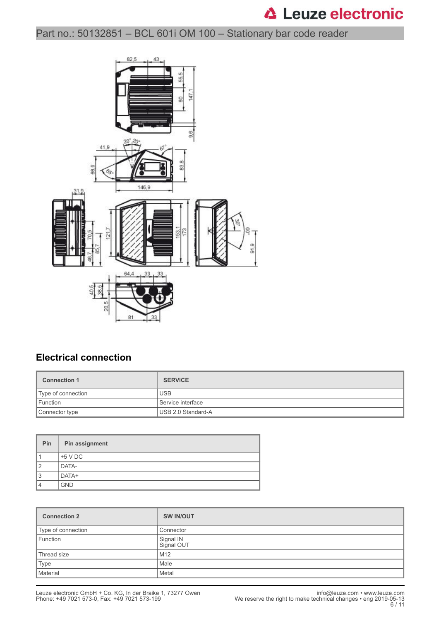### Part no.: 50132851 – BCL 601i OM 100 – Stationary bar code reader



### **Electrical connection**

| <b>Connection 1</b> | <b>SERVICE</b>     |
|---------------------|--------------------|
| Type of connection  | <b>USB</b>         |
| Function            | Service interface  |
| Connector type      | USB 2.0 Standard-A |

| <b>Pin</b>     | Pin assignment |
|----------------|----------------|
|                | $+5$ V DC      |
| $\overline{2}$ | DATA-          |
| 3              | DATA+          |
| 4              | <b>GND</b>     |

| <b>Connection 2</b> | <b>SW IN/OUT</b>        |
|---------------------|-------------------------|
| Type of connection  | Connector               |
| Function            | Signal IN<br>Signal OUT |
| Thread size         | M12                     |
| Type                | Male                    |
| Material            | Metal                   |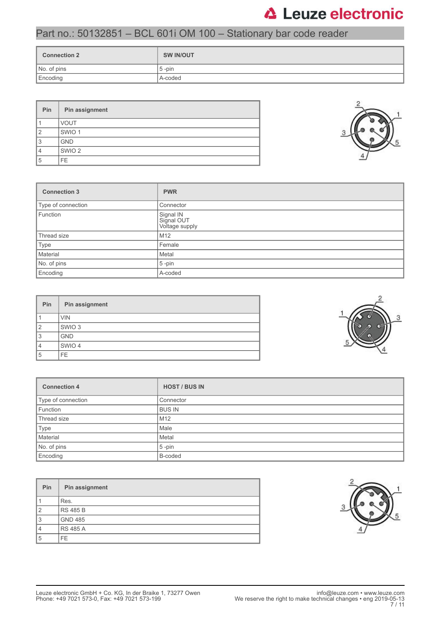### Part no.: 50132851 – BCL 601i OM 100 – Stationary bar code reader

| <b>Connection 2</b> | <b>SW IN/OUT</b> |
|---------------------|------------------|
| No. of pins         | $5$ -pin         |
| Encoding            | A-coded          |

| Pin            | Pin assignment    |  |  |  |
|----------------|-------------------|--|--|--|
|                | <b>VOUT</b>       |  |  |  |
| $\overline{2}$ | SWIO <sub>1</sub> |  |  |  |
| 3              | <b>GND</b>        |  |  |  |
| 4              | SWIO <sub>2</sub> |  |  |  |
| 5              | FE.               |  |  |  |

| <b>Connection 3</b> | <b>PWR</b>                                |
|---------------------|-------------------------------------------|
| Type of connection  | Connector                                 |
| Function            | Signal IN<br>Signal OUT<br>Voltage supply |
| Thread size         | M <sub>12</sub>                           |
| Type                | Female                                    |
| Material            | Metal                                     |
| No. of pins         | $5$ -pin                                  |
| Encoding            | A-coded                                   |

| Pin            | Pin assignment    |  |  |
|----------------|-------------------|--|--|
|                | <b>VIN</b>        |  |  |
| $\overline{2}$ | SWIO <sub>3</sub> |  |  |
| 3              | <b>GND</b>        |  |  |
| 4              | SWIO 4            |  |  |
| 5              | FE.               |  |  |

| <b>Connection 4</b> | <b>HOST / BUS IN</b> |
|---------------------|----------------------|
| Type of connection  | Connector            |
| Function            | <b>BUS IN</b>        |
| Thread size         | M <sub>12</sub>      |
| Type                | Male                 |
| Material            | Metal                |
| No. of pins         | $5$ -pin             |
| Encoding            | B-coded              |

| Pin            | Pin assignment  |
|----------------|-----------------|
|                | Res.            |
| $\overline{2}$ | <b>RS 485 B</b> |
| 3              | <b>GND 485</b>  |
| $\overline{4}$ | <b>RS 485 A</b> |
| 5              | FE.             |





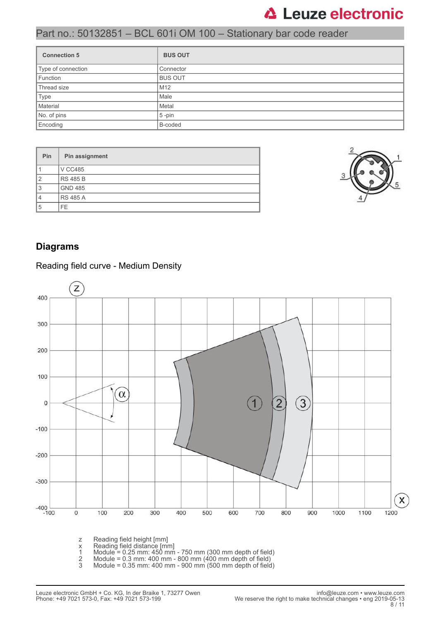### Part no.: 50132851 – BCL 601i OM 100 – Stationary bar code reader

| <b>Connection 5</b> | <b>BUS OUT</b>  |
|---------------------|-----------------|
| Type of connection  | Connector       |
| Function            | <b>BUS OUT</b>  |
| Thread size         | M <sub>12</sub> |
| Type                | Male            |
| Material            | Metal           |
| No. of pins         | $5$ -pin        |
| Encoding            | B-coded         |

| Pin            | Pin assignment  |
|----------------|-----------------|
|                | <b>V CC485</b>  |
| $\overline{2}$ | <b>RS 485 B</b> |
| 3              | <b>GND 485</b>  |
| $\overline{4}$ | <b>RS 485 A</b> |
| 5              | FE.             |



### **Diagrams**

#### Z 400 300 200 100  $\alpha$  $\overline{1}$  $\overline{2}$  $\left(3\right)$ 0  $-100$  $-200$  $-300$  $\pmb{\mathsf{X}}$  $-400$   $-100$ 1200  $\mathsf{O}\xspace$ 100 200 300 400 500 600 700 800 900 1000 1100

#### Reading field curve - Medium Density

z Reading field height [mm]

- x Reading field distance [mm]
- 1 Module = 0.25 mm: 450 mm 750 mm (300 mm depth of field)
- 2 Module = 0.3 mm: 400 mm 800 mm (400 mm depth of field)
- 3 Module = 0.35 mm: 400 mm 900 mm (500 mm depth of field)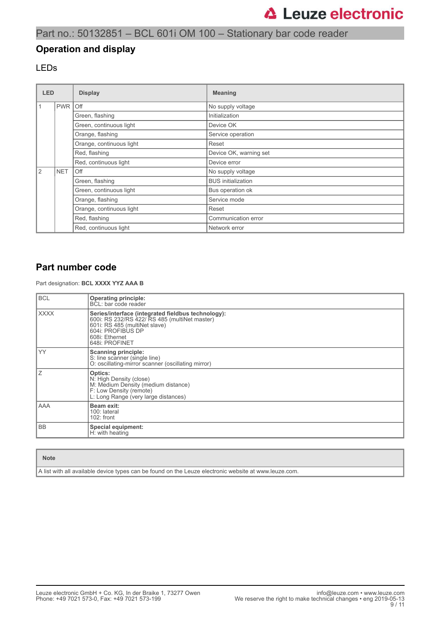### Part no.: 50132851 – BCL 601i OM 100 – Stationary bar code reader

#### **Operation and display**

#### LEDs

| <b>LED</b> |                   | <b>Display</b>           | <b>Meaning</b>            |  |
|------------|-------------------|--------------------------|---------------------------|--|
|            | <b>PWR</b>        | l Off                    | No supply voltage         |  |
|            |                   | Green, flashing          | Initialization            |  |
|            |                   | Green, continuous light  | Device OK                 |  |
|            |                   | Orange, flashing         | Service operation         |  |
|            |                   | Orange, continuous light | Reset                     |  |
|            |                   | Red, flashing            | Device OK, warning set    |  |
|            |                   | Red, continuous light    | Device error              |  |
| 2          | <b>NET</b><br>Off |                          | No supply voltage         |  |
|            |                   | Green, flashing          | <b>BUS</b> initialization |  |
|            |                   | Green, continuous light  | Bus operation ok          |  |
|            |                   | Orange, flashing         | Service mode              |  |
|            |                   | Orange, continuous light | Reset                     |  |
|            |                   | Red, flashing            | Communication error       |  |
|            |                   | Red, continuous light    | Network error             |  |

#### **Part number code**

Part designation: **BCL XXXX YYZ AAA B**

| <b>BCL</b>  | <b>Operating principle:</b><br>BCL: bar code reader                                                                                                                                           |  |  |
|-------------|-----------------------------------------------------------------------------------------------------------------------------------------------------------------------------------------------|--|--|
| <b>XXXX</b> | Series/interface (integrated fieldbus technology):<br>600i: RS 232/RS 422/ RS 485 (multiNet master)<br>601i: RS 485 (multiNet slave)<br>604i: PROFIBUS DP<br>608i: Ethernet<br>648i: PROFINET |  |  |
| YY          | <b>Scanning principle:</b><br>S: line scanner (single line)<br>O: oscillating-mirror scanner (oscillating mirror)                                                                             |  |  |
| Ζ           | Optics:<br>N: High Density (close)<br>M: Medium Density (medium distance)<br>F: Low Density (remote)<br>L: Long Range (very large distances)                                                  |  |  |
| AAA         | Beam exit:<br>100: lateral<br>$102:$ front                                                                                                                                                    |  |  |
| <b>BB</b>   | Special equipment:<br>H: with heating                                                                                                                                                         |  |  |

#### **Note**

A list with all available device types can be found on the Leuze electronic website at www.leuze.com.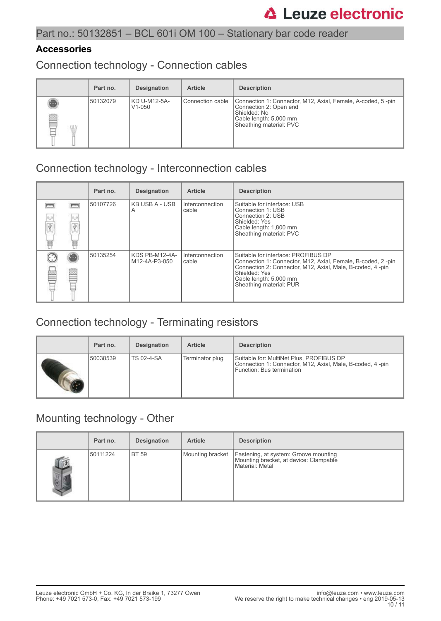### **Accessories**

Connection technology - Connection cables

|   | Part no. | <b>Designation</b>         | <b>Article</b>     | <b>Description</b>                                                                                                                                         |
|---|----------|----------------------------|--------------------|------------------------------------------------------------------------------------------------------------------------------------------------------------|
| ß | 50132079 | KD U-M12-5A-<br>$V1 - 050$ | l Connection cable | Connection 1: Connector, M12, Axial, Female, A-coded, 5-pin<br>Connection 2: Open end<br>Shielded: No<br>Cable length: 5,000 mm<br>Sheathing material: PVC |

### Connection technology - Interconnection cables

|                |                       | Part no. | <b>Designation</b>              | <b>Article</b>           | <b>Description</b>                                                                                                                                                                                                                     |
|----------------|-----------------------|----------|---------------------------------|--------------------------|----------------------------------------------------------------------------------------------------------------------------------------------------------------------------------------------------------------------------------------|
| 0,0<br>Ÿ.<br>最 | $\sigma_{\rm m}$<br>諨 | 50107726 | <b>KB USB A - USB</b><br>A      | Interconnection<br>cable | Suitable for interface: USB<br>Connection 1: USB<br>Connection 2: USB<br>Shielded: Yes<br>Cable length: 1,800 mm<br>Sheathing material: PVC                                                                                            |
|                |                       | 50135254 | KDS PB-M12-4A-<br>M12-4A-P3-050 | Interconnection<br>cable | Suitable for interface: PROFIBUS DP<br>Connection 1: Connector, M12, Axial, Female, B-coded, 2-pin<br>Connection 2: Connector, M12, Axial, Male, B-coded, 4 -pin<br>Shielded: Yes<br>Cable length: 5,000 mm<br>Sheathing material: PUR |

## Connection technology - Terminating resistors

| Part no. | <b>Designation</b> | <b>Article</b>  | <b>Description</b>                                                                                                                 |
|----------|--------------------|-----------------|------------------------------------------------------------------------------------------------------------------------------------|
| 50038539 | <b>TS 02-4-SA</b>  | Terminator plug | Suitable for: MultiNet Plus, PROFIBUS DP<br>Connection 1: Connector, M12, Axial, Male, B-coded, 4-pin<br>Function: Bus termination |

### Mounting technology - Other

|                | Part no. | <b>Designation</b> | <b>Article</b>   | <b>Description</b>                                                                                 |
|----------------|----------|--------------------|------------------|----------------------------------------------------------------------------------------------------|
| $\mathbb{R}^2$ | 50111224 | I BT 59            | Mounting bracket | Fastening, at system: Groove mounting<br>Mounting bracket, at device: Clampable<br>Material: Metal |